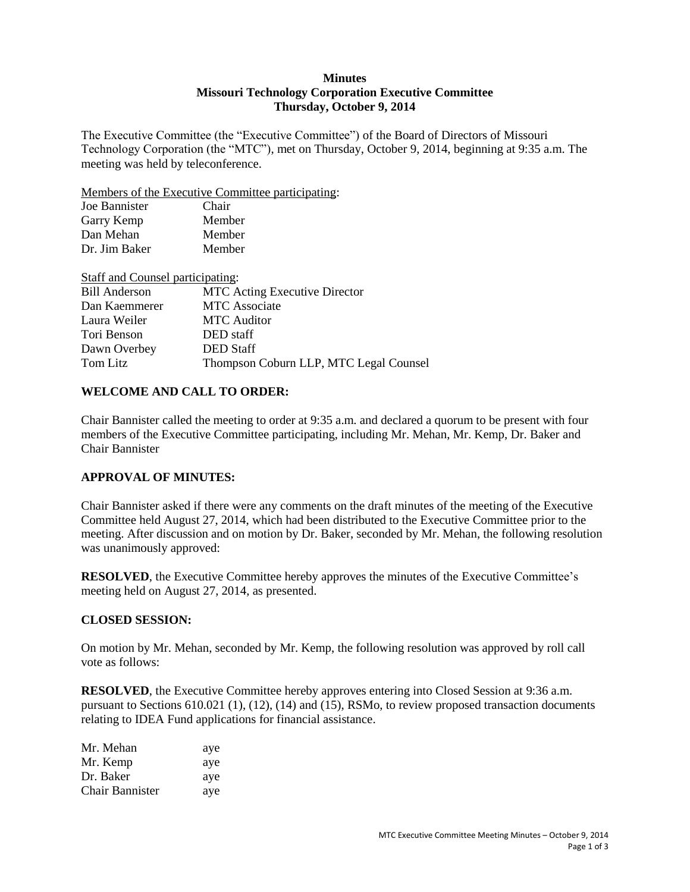#### **Minutes Missouri Technology Corporation Executive Committee Thursday, October 9, 2014**

The Executive Committee (the "Executive Committee") of the Board of Directors of Missouri Technology Corporation (the "MTC"), met on Thursday, October 9, 2014, beginning at 9:35 a.m. The meeting was held by teleconference.

Members of the Executive Committee participating:

| Joe Bannister | Chair  |
|---------------|--------|
| Garry Kemp    | Member |
| Dan Mehan     | Member |
| Dr. Jim Baker | Member |
|               |        |

**Staff and Counsel participating:**<br>Bill Anderson **MTC** A **MTC Acting Executive Director** Dan Kaemmerer MTC Associate Laura Weiler MTC Auditor Tori Benson DED staff Dawn Overbey DED Staff Tom Litz Thompson Coburn LLP, MTC Legal Counsel

# **WELCOME AND CALL TO ORDER:**

Chair Bannister called the meeting to order at 9:35 a.m. and declared a quorum to be present with four members of the Executive Committee participating, including Mr. Mehan, Mr. Kemp, Dr. Baker and Chair Bannister

## **APPROVAL OF MINUTES:**

Chair Bannister asked if there were any comments on the draft minutes of the meeting of the Executive Committee held August 27, 2014, which had been distributed to the Executive Committee prior to the meeting. After discussion and on motion by Dr. Baker, seconded by Mr. Mehan, the following resolution was unanimously approved:

**RESOLVED**, the Executive Committee hereby approves the minutes of the Executive Committee's meeting held on August 27, 2014, as presented.

#### **CLOSED SESSION:**

On motion by Mr. Mehan, seconded by Mr. Kemp, the following resolution was approved by roll call vote as follows:

**RESOLVED**, the Executive Committee hereby approves entering into Closed Session at 9:36 a.m. pursuant to Sections 610.021 (1), (12), (14) and (15), RSMo, to review proposed transaction documents relating to IDEA Fund applications for financial assistance.

| Mr. Mehan       | aye |
|-----------------|-----|
| Mr. Kemp        | aye |
| Dr. Baker       | aye |
| Chair Bannister | aye |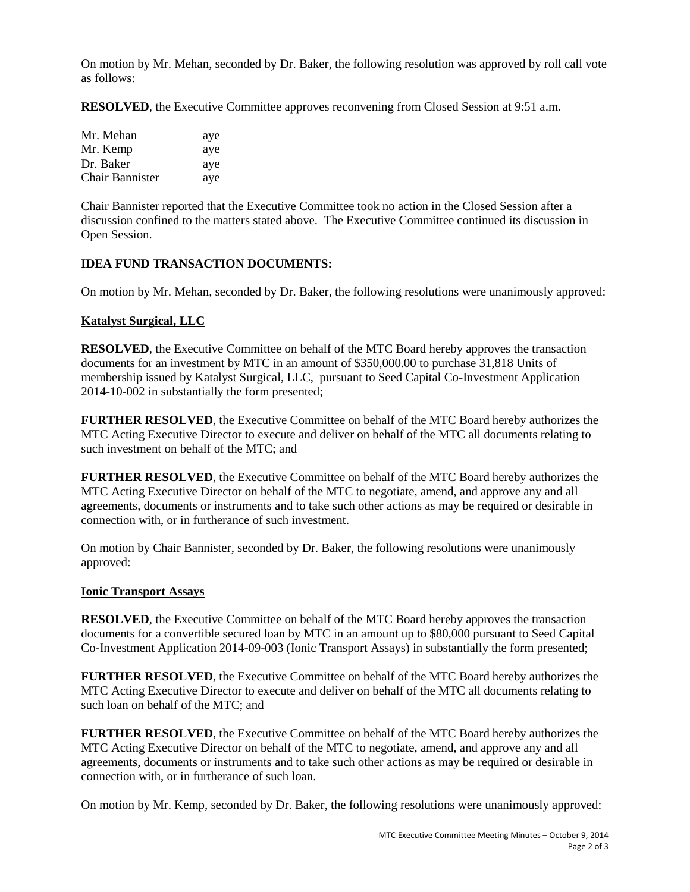On motion by Mr. Mehan, seconded by Dr. Baker, the following resolution was approved by roll call vote as follows:

**RESOLVED**, the Executive Committee approves reconvening from Closed Session at 9:51 a.m.

| Mr. Mehan              | aye |
|------------------------|-----|
| Mr. Kemp               | aye |
| Dr. Baker              | aye |
| <b>Chair Bannister</b> | aye |

Chair Bannister reported that the Executive Committee took no action in the Closed Session after a discussion confined to the matters stated above. The Executive Committee continued its discussion in Open Session.

## **IDEA FUND TRANSACTION DOCUMENTS:**

On motion by Mr. Mehan, seconded by Dr. Baker, the following resolutions were unanimously approved:

## **Katalyst Surgical, LLC**

**RESOLVED**, the Executive Committee on behalf of the MTC Board hereby approves the transaction documents for an investment by MTC in an amount of \$350,000.00 to purchase 31,818 Units of membership issued by Katalyst Surgical, LLC, pursuant to Seed Capital Co-Investment Application 2014-10-002 in substantially the form presented;

**FURTHER RESOLVED**, the Executive Committee on behalf of the MTC Board hereby authorizes the MTC Acting Executive Director to execute and deliver on behalf of the MTC all documents relating to such investment on behalf of the MTC; and

**FURTHER RESOLVED**, the Executive Committee on behalf of the MTC Board hereby authorizes the MTC Acting Executive Director on behalf of the MTC to negotiate, amend, and approve any and all agreements, documents or instruments and to take such other actions as may be required or desirable in connection with, or in furtherance of such investment.

On motion by Chair Bannister, seconded by Dr. Baker, the following resolutions were unanimously approved:

#### **Ionic Transport Assays**

**RESOLVED**, the Executive Committee on behalf of the MTC Board hereby approves the transaction documents for a convertible secured loan by MTC in an amount up to \$80,000 pursuant to Seed Capital Co-Investment Application 2014-09-003 (Ionic Transport Assays) in substantially the form presented;

**FURTHER RESOLVED**, the Executive Committee on behalf of the MTC Board hereby authorizes the MTC Acting Executive Director to execute and deliver on behalf of the MTC all documents relating to such loan on behalf of the MTC; and

**FURTHER RESOLVED**, the Executive Committee on behalf of the MTC Board hereby authorizes the MTC Acting Executive Director on behalf of the MTC to negotiate, amend, and approve any and all agreements, documents or instruments and to take such other actions as may be required or desirable in connection with, or in furtherance of such loan.

On motion by Mr. Kemp, seconded by Dr. Baker, the following resolutions were unanimously approved: